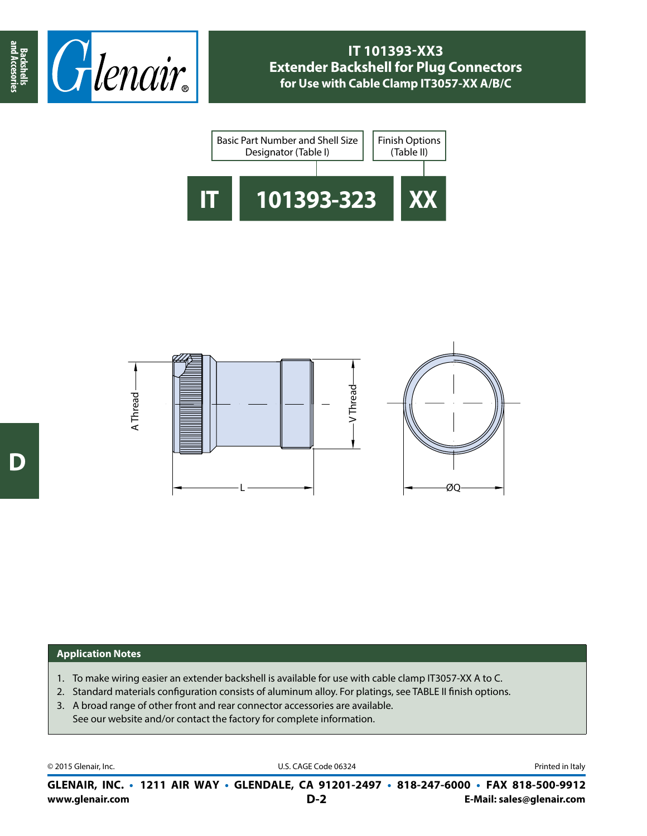





## **Application Notes**

- 1. To make wiring easier an extender backshell is available for use with cable clamp IT3057-XX A to C.
- 2. Standard materials configuration consists of aluminum alloy. For platings, see TABLE II finish options.
- 3. A broad range of other front and rear connector accessories are available. See our website and/or contact the factory for complete information.

© 2015 Glenair, Inc. **Discription Construction Construction Construction Construction Construction Construction Construction Construction Construction Construction Construction Construction Construction Construction Constr** 

**www.glenair.com E-Mail: sales@glenair.com GLENAIR, INC. • 1211 AIR WAY • GLENDALE, CA 91201-2497 • 818-247-6000 • FAX 818-500-9912 D-2**